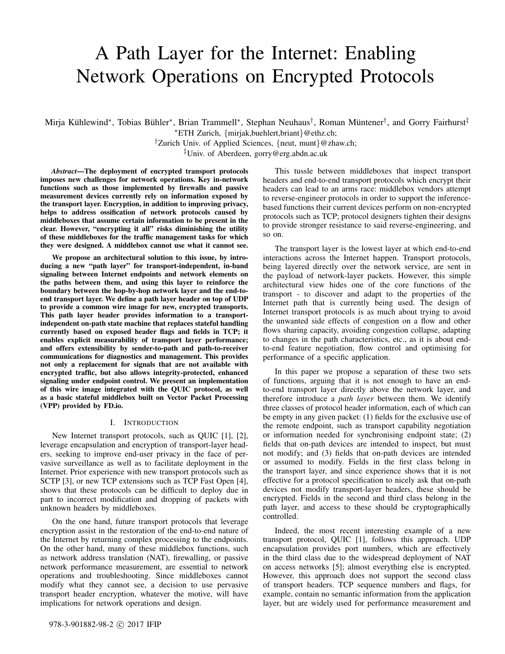# A Path Layer for the Internet: Enabling Network Operations on Encrypted Protocols

Mirja Kühlewind\*, Tobias Bühler\*, Brian Trammell\*, Stephan Neuhaus<sup>†</sup>, Roman Müntener<sup>†</sup>, and Gorry Fairhurst<sup>‡</sup>

<sup>∗</sup>ETH Zurich, {mirjak,buehlert,briant}@ethz.ch;

†Zurich Univ. of Applied Sciences, {neut, munt}@zhaw.ch;

‡Univ. of Aberdeen, gorry@erg.abdn.ac.uk

*Abstract*—The deployment of encrypted transport protocols imposes new challenges for network operations. Key in-network functions such as those implemented by firewalls and passive measurement devices currently rely on information exposed by the transport layer. Encryption, in addition to improving privacy, helps to address ossification of network protocols caused by middleboxes that assume certain information to be present in the clear. However, "encrypting it all" risks diminishing the utility of these middleboxes for the traffic management tasks for which they were designed. A middlebox cannot use what it cannot see.

We propose an architectural solution to this issue, by introducing a new "path layer" for transport-independent, in-band signaling between Internet endpoints and network elements on the paths between them, and using this layer to reinforce the boundary between the hop-by-hop network layer and the end-toend transport layer. We define a path layer header on top of UDP to provide a common wire image for new, encrypted transports. This path layer header provides information to a transportindependent on-path state machine that replaces stateful handling currently based on exposed header flags and fields in TCP; it enables explicit measurability of transport layer performance; and offers extensibility by sender-to-path and path-to-receiver communications for diagnostics and management. This provides not only a replacement for signals that are not available with encrypted traffic, but also allows integrity-protected, enhanced signaling under endpoint control. We present an implementation of this wire image integrated with the QUIC protocol, as well as a basic stateful middlebox built on Vector Packet Processing (VPP) provided by FD.io.

# I. INTRODUCTION

New Internet transport protocols, such as QUIC [1], [2], leverage encapsulation and encryption of transport-layer headers, seeking to improve end-user privacy in the face of pervasive surveillance as well as to facilitate deployment in the Internet. Prior experience with new transport protocols such as SCTP [3], or new TCP extensions such as TCP Fast Open [4], shows that these protocols can be difficult to deploy due in part to incorrect modification and dropping of packets with unknown headers by middleboxes.

On the one hand, future transport protocols that leverage encryption assist in the restoration of the end-to-end nature of the Internet by returning complex processing to the endpoints. On the other hand, many of these middlebox functions, such as network address translation (NAT), firewalling, or passive network performance measurement, are essential to network operations and troubleshooting. Since middleboxes cannot modify what they cannot see, a decision to use pervasive transport header encryption, whatever the motive, will have implications for network operations and design.

This tussle between middleboxes that inspect transport headers and end-to-end transport protocols which encrypt their headers can lead to an arms race: middlebox vendors attempt to reverse-engineer protocols in order to support the inferencebased functions their current devices perform on non-encrypted protocols such as TCP; protocol designers tighten their designs to provide stronger resistance to said reverse-engineering, and so on.

The transport layer is the lowest layer at which end-to-end interactions across the Internet happen. Transport protocols, being layered directly over the network service, are sent in the payload of network-layer packets. However, this simple architectural view hides one of the core functions of the transport - to discover and adapt to the properties of the Internet path that is currently being used. The design of Internet transport protocols is as much about trying to avoid the unwanted side effects of congestion on a flow and other flows sharing capacity, avoiding congestion collapse, adapting to changes in the path characteristics, etc., as it is about endto-end feature negotiation, flow control and optimising for performance of a specific application.

In this paper we propose a separation of these two sets of functions, arguing that it is not enough to have an endto-end transport layer directly above the network layer, and therefore introduce a *path layer* between them. We identify three classes of protocol header information, each of which can be empty in any given packet: (1) fields for the exclusive use of the remote endpoint, such as transport capability negotiation or information needed for synchronising endpoint state; (2) fields that on-path devices are intended to inspect, but must not modify; and (3) fields that on-path devices are intended or assumed to modify. Fields in the first class belong in the transport layer, and since experience shows that it is not effective for a protocol specification to nicely ask that on-path devices not modify transport-layer headers, these should be encrypted. Fields in the second and third class belong in the path layer, and access to these should be cryptographically controlled.

Indeed, the most recent interesting example of a new transport protocol, QUIC [1], follows this approach. UDP encapsulation provides port numbers, which are effectively in the third class due to the widespread deployment of NAT on access networks [5]; almost everything else is encrypted. However, this approach does not support the second class of transport headers. TCP sequence numbers and flags, for example, contain no semantic information from the application layer, but are widely used for performance measurement and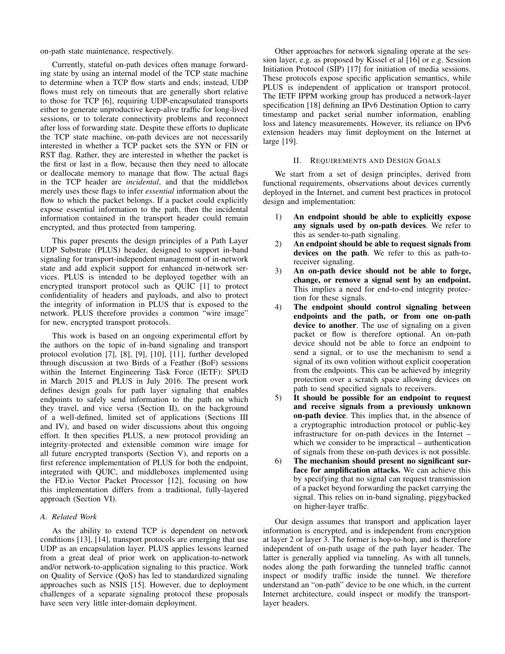on-path state maintenance, respectively.

Currently, stateful on-path devices often manage forwarding state by using an internal model of the TCP state machine to determine when a TCP flow starts and ends; instead, UDP flows must rely on timeouts that are generally short relative to those for TCP [6], requiring UDP-encapsulated transports either to generate unproductive keep-alive traffic for long-lived sessions, or to tolerate connectivity problems and reconnect after loss of forwarding state. Despite these efforts to duplicate the TCP state machine, on-path devices are not necessarily interested in whether a TCP packet sets the SYN or FIN or RST flag. Rather, they are interested in whether the packet is the first or last in a flow, because then they need to allocate or deallocate memory to manage that flow. The actual flags in the TCP header are *incidental*, and that the middlebox merely uses these flags to infer *essential* information about the flow to which the packet belongs. If a packet could explicitly expose essential information to the path, then the incidental information contained in the transport header could remain encrypted, and thus protected from tampering.

This paper presents the design principles of a Path Layer UDP Substrate (PLUS) header, designed to support in-band signaling for transport-independent management of in-network state and add explicit support for enhanced in-network services. PLUS is intended to be deployed together with an encrypted transport protocol such as QUIC [1] to protect confidentiality of headers and payloads, and also to protect the integrity of information in PLUS that is exposed to the network. PLUS therefore provides a common "wire image" for new, encrypted transport protocols.

This work is based on an ongoing experimental effort by the authors on the topic of in-band signaling and transport protocol evolution [7], [8], [9], [10], [11], further developed through discussion at two Birds of a Feather (BoF) sessions within the Internet Engineering Task Force (IETF): SPUD in March 2015 and PLUS in July 2016. The present work defines design goals for path layer signaling that enables endpoints to safely send information to the path on which they travel, and vice versa (Section II), on the background of a well-defined, limited set of applications (Sections III and IV), and based on wider discussions about this ongoing effort. It then specifies PLUS, a new protocol providing an integrity-protected and extensible common wire image for all future encrypted transports (Section V), and reports on a first reference implementation of PLUS for both the endpoint, integrated with QUIC, and middleboxes implemented using the FD.io Vector Packet Processor [12], focusing on how this implementation differs from a traditional, fully-layered approach (Section VI).

# *A. Related Work*

As the ability to extend TCP is dependent on network conditions [13], [14], transport protocols are emerging that use UDP as an encapsulation layer. PLUS applies lessons learned from a great deal of prior work on application-to-network and/or network-to-application signaling to this practice. Work on Quality of Service (QoS) has led to standardized signaling approaches such as NSIS [15]. However, due to deployment challenges of a separate signaling protocol these proposals have seen very little inter-domain deployment.

Other approaches for network signaling operate at the session layer, e.g. as proposed by Kissel et al [16] or e.g. Session Initiation Protocol (SIP) [17] for initiation of media sessions. These protocols expose specific application semantics, while PLUS is independent of application or transport protocol. The IETF IPPM working group has produced a network-layer specification [18] defining an IPv6 Destination Option to carry timestamp and packet serial number information, enabling loss and latency measurements. However, its reliance on IPv6 extension headers may limit deployment on the Internet at large [19].

### II. REQUIREMENTS AND DESIGN GOALS

We start from a set of design principles, derived from functional requirements, observations about devices currently deployed in the Internet, and current best practices in protocol design and implementation:

- 1) An endpoint should be able to explicitly expose any signals used by on-path devices. We refer to this as sender-to-path signaling.
- 2) An endpoint should be able to request signals from devices on the path. We refer to this as path-toreceiver signaling.
- 3) An on-path device should not be able to forge, change, or remove a signal sent by an endpoint. This implies a need for end-to-end integrity protection for these signals.
- 4) The endpoint should control signaling between endpoints and the path, or from one on-path device to another. The use of signaling on a given packet or flow is therefore optional. An on-path device should not be able to force an endpoint to send a signal, or to use the mechanism to send a signal of its own volition without explicit cooperation from the endpoints. This can be achieved by integrity protection over a scratch space allowing devices on path to send specified signals to receivers.
- 5) It should be possible for an endpoint to request and receive signals from a previously unknown on-path device. This implies that, in the absence of a cryptographic introduction protocol or public-key infrastructure for on-path devices in the Internet – which we consider to be impractical – authentication of signals from these on-path devices is not possible.
- 6) The mechanism should present no significant surface for amplification attacks. We can achieve this by specifying that no signal can request transmission of a packet beyond forwarding the packet carrying the signal. This relies on in-band signaling, piggybacked on higher-layer traffic.

Our design assumes that transport and application layer information is encrypted, and is independent from encryption at layer 2 or layer 3. The former is hop-to-hop, and is therefore independent of on-path usage of the path layer header. The latter is generally applied via tunneling. As with all tunnels, nodes along the path forwarding the tunneled traffic cannot inspect or modify traffic inside the tunnel. We therefore understand an "on-path" device to be one which, in the current Internet architecture, could inspect or modify the transportlayer headers.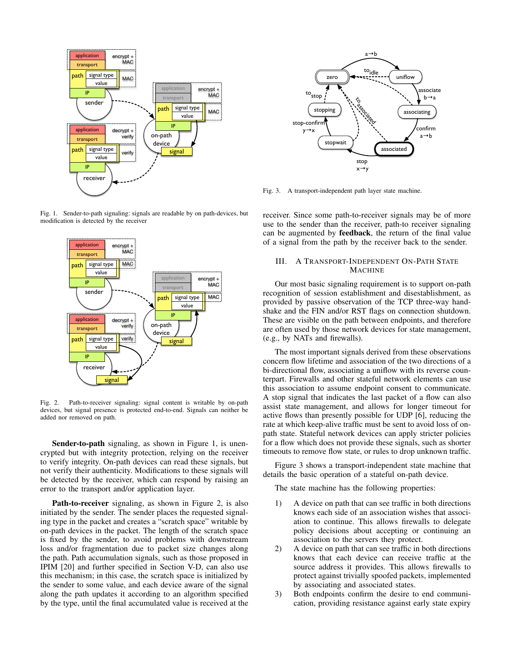

Fig. 1. Sender-to-path signaling: signals are readable by on path-devices, but modification is detected by the receiver



Fig. 2. Path-to-receiver signaling: signal content is writable by on-path devices, but signal presence is protected end-to-end. Signals can neither be added nor removed on path.

Sender-to-path signaling, as shown in Figure 1, is unencrypted but with integrity protection, relying on the receiver to verify integrity. On-path devices can read these signals, but not verify their authenticity. Modifications to these signals will be detected by the receiver, which can respond by raising an error to the transport and/or application layer.

Path-to-receiver signaling, as shown in Figure 2, is also initiated by the sender. The sender places the requested signaling type in the packet and creates a "scratch space" writable by on-path devices in the packet. The length of the scratch space is fixed by the sender, to avoid problems with downstream loss and/or fragmentation due to packet size changes along the path. Path accumulation signals, such as those proposed in IPIM [20] and further specified in Section V-D, can also use this mechanism; in this case, the scratch space is initialized by the sender to some value, and each device aware of the signal along the path updates it according to an algorithm specified by the type, until the final accumulated value is received at the



Fig. 3. A transport-independent path layer state machine.

receiver. Since some path-to-receiver signals may be of more use to the sender than the receiver, path-to receiver signaling can be augmented by feedback, the return of the final value of a signal from the path by the receiver back to the sender.

## III. A TRANSPORT-INDEPENDENT ON-PATH STATE MACHINE

Our most basic signaling requirement is to support on-path recognition of session establishment and disestablishment, as provided by passive observation of the TCP three-way handshake and the FIN and/or RST flags on connection shutdown. These are visible on the path between endpoints, and therefore are often used by those network devices for state management, (e.g., by NATs and firewalls).

The most important signals derived from these observations concern flow lifetime and association of the two directions of a bi-directional flow, associating a uniflow with its reverse counterpart. Firewalls and other stateful network elements can use this association to assume endpoint consent to communicate. A stop signal that indicates the last packet of a flow can also assist state management, and allows for longer timeout for active flows than presently possible for UDP [6], reducing the rate at which keep-alive traffic must be sent to avoid loss of onpath state. Stateful network devices can apply stricter policies for a flow which does not provide these signals, such as shorter timeouts to remove flow state, or rules to drop unknown traffic.

Figure 3 shows a transport-independent state machine that details the basic operation of a stateful on-path device.

The state machine has the following properties:

- 1) A device on path that can see traffic in both directions knows each side of an association wishes that association to continue. This allows firewalls to delegate policy decisions about accepting or continuing an association to the servers they protect.
- 2) A device on path that can see traffic in both directions knows that each device can receive traffic at the source address it provides. This allows firewalls to protect against trivially spoofed packets, implemented by associating and associated states.
- 3) Both endpoints confirm the desire to end communication, providing resistance against early state expiry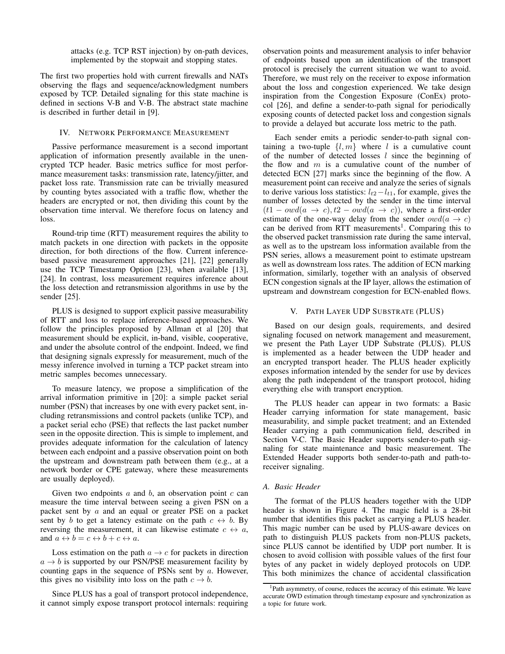attacks (e.g. TCP RST injection) by on-path devices, implemented by the stopwait and stopping states.

The first two properties hold with current firewalls and NATs observing the flags and sequence/acknowledgment numbers exposed by TCP. Detailed signaling for this state machine is defined in sections V-B and V-B. The abstract state machine is described in further detail in [9].

## IV. NETWORK PERFORMANCE MEASUREMENT

Passive performance measurement is a second important application of information presently available in the unencrypted TCP header. Basic metrics suffice for most performance measurement tasks: transmission rate, latency/jitter, and packet loss rate. Transmission rate can be trivially measured by counting bytes associated with a traffic flow, whether the headers are encrypted or not, then dividing this count by the observation time interval. We therefore focus on latency and loss.

Round-trip time (RTT) measurement requires the ability to match packets in one direction with packets in the opposite direction, for both directions of the flow. Current inferencebased passive measurement approaches [21], [22] generally use the TCP Timestamp Option [23], when available [13], [24]. In contrast, loss measurement requires inference about the loss detection and retransmission algorithms in use by the sender [25].

PLUS is designed to support explicit passive measurability of RTT and loss to replace inference-based approaches. We follow the principles proposed by Allman et al [20] that measurement should be explicit, in-band, visible, cooperative, and under the absolute control of the endpoint. Indeed, we find that designing signals expressly for measurement, much of the messy inference involved in turning a TCP packet stream into metric samples becomes unnecessary.

To measure latency, we propose a simplification of the arrival information primitive in [20]: a simple packet serial number (PSN) that increases by one with every packet sent, including retransmissions and control packets (unlike TCP), and a packet serial echo (PSE) that reflects the last packet number seen in the opposite direction. This is simple to implement, and provides adequate information for the calculation of latency between each endpoint and a passive observation point on both the upstream and downstream path between them (e.g., at a network border or CPE gateway, where these measurements are usually deployed).

Given two endpoints  $a$  and  $b$ , an observation point  $c$  can measure the time interval between seeing a given PSN on a packet sent by  $a$  and an equal or greater PSE on a packet sent by b to get a latency estimate on the path  $c \leftrightarrow b$ . By reversing the measurement, it can likewise estimate  $c \leftrightarrow a$ , and  $a \leftrightarrow b = c \leftrightarrow b + c \leftrightarrow a$ .

Loss estimation on the path  $a \rightarrow c$  for packets in direction  $a \rightarrow b$  is supported by our PSN/PSE measurement facility by counting gaps in the sequence of PSNs sent by  $a$ . However, this gives no visibility into loss on the path  $c \rightarrow b$ .

Since PLUS has a goal of transport protocol independence, it cannot simply expose transport protocol internals: requiring observation points and measurement analysis to infer behavior of endpoints based upon an identification of the transport protocol is precisely the current situation we want to avoid. Therefore, we must rely on the receiver to expose information about the loss and congestion experienced. We take design inspiration from the Congestion Exposure (ConEx) protocol [26], and define a sender-to-path signal for periodically exposing counts of detected packet loss and congestion signals to provide a delayed but accurate loss metric to the path.

Each sender emits a periodic sender-to-path signal containing a two-tuple  $\{l, m\}$  where l is a cumulative count of the number of detected losses  $l$  since the beginning of the flow and  $m$  is a cumulative count of the number of detected ECN [27] marks since the beginning of the flow. A measurement point can receive and analyze the series of signals to derive various loss statistics:  $l_{t2}-l_{t1}$ , for example, gives the number of losses detected by the sender in the time interval  $(t1 - owd(a \rightarrow c), t2 - owd(a \rightarrow c))$ , where a first-order estimate of the one-way delay from the sender  $owd(a \rightarrow c)$ can be derived from RTT measurements<sup>1</sup>. Comparing this to the observed packet transmission rate during the same interval, as well as to the upstream loss information available from the PSN series, allows a measurement point to estimate upstream as well as downstream loss rates. The addition of ECN marking information, similarly, together with an analysis of observed ECN congestion signals at the IP layer, allows the estimation of upstream and downstream congestion for ECN-enabled flows.

### V. PATH LAYER UDP SUBSTRATE (PLUS)

Based on our design goals, requirements, and desired signaling focused on network management and measurement, we present the Path Layer UDP Substrate (PLUS). PLUS is implemented as a header between the UDP header and an encrypted transport header. The PLUS header explicitly exposes information intended by the sender for use by devices along the path independent of the transport protocol, hiding everything else with transport encryption.

The PLUS header can appear in two formats: a Basic Header carrying information for state management, basic measurability, and simple packet treatment; and an Extended Header carrying a path communication field, described in Section V-C. The Basic Header supports sender-to-path signaling for state maintenance and basic measurement. The Extended Header supports both sender-to-path and path-toreceiver signaling.

#### *A. Basic Header*

The format of the PLUS headers together with the UDP header is shown in Figure 4. The magic field is a 28-bit number that identifies this packet as carrying a PLUS header. This magic number can be used by PLUS-aware devices on path to distinguish PLUS packets from non-PLUS packets, since PLUS cannot be identified by UDP port number. It is chosen to avoid collision with possible values of the first four bytes of any packet in widely deployed protocols on UDP. This both minimizes the chance of accidental classification

<sup>&</sup>lt;sup>1</sup>Path asymmetry, of course, reduces the accuracy of this estimate. We leave accurate OWD estimation through timestamp exposure and synchronization as a topic for future work.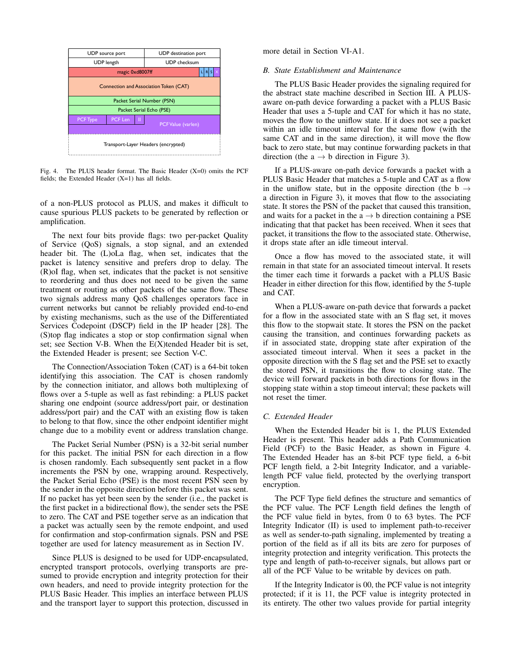

Fig. 4. The PLUS header format. The Basic Header (X=0) omits the PCF fields; the Extended Header  $(X=1)$  has all fields.

of a non-PLUS protocol as PLUS, and makes it difficult to cause spurious PLUS packets to be generated by reflection or amplification.

The next four bits provide flags: two per-packet Quality of Service (QoS) signals, a stop signal, and an extended header bit. The (L)oLa flag, when set, indicates that the packet is latency sensitive and prefers drop to delay. The (R)oI flag, when set, indicates that the packet is not sensitive to reordering and thus does not need to be given the same treatment or routing as other packets of the same flow. These two signals address many QoS challenges operators face in current networks but cannot be reliably provided end-to-end by existing mechanisms, such as the use of the Differentiated Services Codepoint (DSCP) field in the IP header [28]. The (S)top flag indicates a stop or stop confirmation signal when set; see Section V-B. When the E(X)tended Header bit is set, the Extended Header is present; see Section V-C.

The Connection/Association Token (CAT) is a 64-bit token identifying this association. The CAT is chosen randomly by the connection initiator, and allows both multiplexing of flows over a 5-tuple as well as fast rebinding: a PLUS packet sharing one endpoint (source address/port pair, or destination address/port pair) and the CAT with an existing flow is taken to belong to that flow, since the other endpoint identifier might change due to a mobility event or address translation change.

The Packet Serial Number (PSN) is a 32-bit serial number for this packet. The initial PSN for each direction in a flow is chosen randomly. Each subsequently sent packet in a flow increments the PSN by one, wrapping around. Respectively, the Packet Serial Echo (PSE) is the most recent PSN seen by the sender in the opposite direction before this packet was sent. If no packet has yet been seen by the sender (i.e., the packet is the first packet in a bidirectional flow), the sender sets the PSE to zero. The CAT and PSE together serve as an indication that a packet was actually seen by the remote endpoint, and used for confirmation and stop-confirmation signals. PSN and PSE together are used for latency measurement as in Section IV.

Since PLUS is designed to be used for UDP-encapsulated, encrypted transport protocols, overlying transports are presumed to provide encryption and integrity protection for their own headers, and need to provide integrity protection for the PLUS Basic Header. This implies an interface between PLUS and the transport layer to support this protection, discussed in more detail in Section VI-A1.

# *B. State Establishment and Maintenance*

The PLUS Basic Header provides the signaling required for the abstract state machine described in Section III. A PLUSaware on-path device forwarding a packet with a PLUS Basic Header that uses a 5-tuple and CAT for which it has no state, moves the flow to the uniflow state. If it does not see a packet within an idle timeout interval for the same flow (with the same CAT and in the same direction), it will move the flow back to zero state, but may continue forwarding packets in that direction (the  $a \rightarrow b$  direction in Figure 3).

If a PLUS-aware on-path device forwards a packet with a PLUS Basic Header that matches a 5-tuple and CAT as a flow in the uniflow state, but in the opposite direction (the b  $\rightarrow$ a direction in Figure 3), it moves that flow to the associating state. It stores the PSN of the packet that caused this transition, and waits for a packet in the  $a \rightarrow b$  direction containing a PSE indicating that that packet has been received. When it sees that packet, it transitions the flow to the associated state. Otherwise, it drops state after an idle timeout interval.

Once a flow has moved to the associated state, it will remain in that state for an associated timeout interval. It resets the timer each time it forwards a packet with a PLUS Basic Header in either direction for this flow, identified by the 5-tuple and CAT.

When a PLUS-aware on-path device that forwards a packet for a flow in the associated state with an S flag set, it moves this flow to the stopwait state. It stores the PSN on the packet causing the transition, and continues forwarding packets as if in associated state, dropping state after expiration of the associated timeout interval. When it sees a packet in the opposite direction with the S flag set and the PSE set to exactly the stored PSN, it transitions the flow to closing state. The device will forward packets in both directions for flows in the stopping state within a stop timeout interval; these packets will not reset the timer.

# *C. Extended Header*

When the Extended Header bit is 1, the PLUS Extended Header is present. This header adds a Path Communication Field (PCF) to the Basic Header, as shown in Figure 4. The Extended Header has an 8-bit PCF type field, a 6-bit PCF length field, a 2-bit Integrity Indicator, and a variablelength PCF value field, protected by the overlying transport encryption.

The PCF Type field defines the structure and semantics of the PCF value. The PCF Length field defines the length of the PCF value field in bytes, from 0 to 63 bytes. The PCF Integrity Indicator (II) is used to implement path-to-receiver as well as sender-to-path signaling, implemented by treating a portion of the field as if all its bits are zero for purposes of integrity protection and integrity verification. This protects the type and length of path-to-receiver signals, but allows part or all of the PCF Value to be writable by devices on path.

If the Integrity Indicator is 00, the PCF value is not integrity protected; if it is 11, the PCF value is integrity protected in its entirety. The other two values provide for partial integrity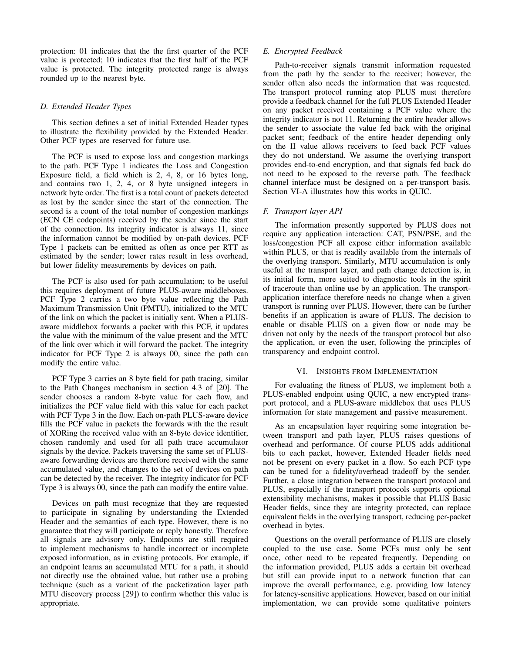protection: 01 indicates that the the first quarter of the PCF value is protected; 10 indicates that the first half of the PCF value is protected. The integrity protected range is always rounded up to the nearest byte.

# *D. Extended Header Types*

This section defines a set of initial Extended Header types to illustrate the flexibility provided by the Extended Header. Other PCF types are reserved for future use.

The PCF is used to expose loss and congestion markings to the path. PCF Type 1 indicates the Loss and Congestion Exposure field, a field which is 2, 4, 8, or 16 bytes long, and contains two 1, 2, 4, or 8 byte unsigned integers in network byte order. The first is a total count of packets detected as lost by the sender since the start of the connection. The second is a count of the total number of congestion markings (ECN CE codepoints) received by the sender since the start of the connection. Its integrity indicator is always 11, since the information cannot be modified by on-path devices. PCF Type 1 packets can be emitted as often as once per RTT as estimated by the sender; lower rates result in less overhead, but lower fidelity measurements by devices on path.

The PCF is also used for path accumulation; to be useful this requires deployment of future PLUS-aware middleboxes. PCF Type 2 carries a two byte value reflecting the Path Maximum Transmission Unit (PMTU), initialized to the MTU of the link on which the packet is initially sent. When a PLUSaware middlebox forwards a packet with this PCF, it updates the value with the minimum of the value present and the MTU of the link over which it will forward the packet. The integrity indicator for PCF Type 2 is always 00, since the path can modify the entire value.

PCF Type 3 carries an 8 byte field for path tracing, similar to the Path Changes mechanism in section 4.3 of [20]. The sender chooses a random 8-byte value for each flow, and initializes the PCF value field with this value for each packet with PCF Type 3 in the flow. Each on-path PLUS-aware device fills the PCF value in packets the forwards with the the result of XORing the received value with an 8-byte device identifier, chosen randomly and used for all path trace accumulator signals by the device. Packets traversing the same set of PLUSaware forwarding devices are therefore received with the same accumulated value, and changes to the set of devices on path can be detected by the receiver. The integrity indicator for PCF Type 3 is always 00, since the path can modify the entire value.

Devices on path must recognize that they are requested to participate in signaling by understanding the Extended Header and the semantics of each type. However, there is no guarantee that they will participate or reply honestly. Therefore all signals are advisory only. Endpoints are still required to implement mechanisms to handle incorrect or incomplete exposed information, as in existing protocols. For example, if an endpoint learns an accumulated MTU for a path, it should not directly use the obtained value, but rather use a probing technique (such as a varient of the packetization layer path MTU discovery process [29]) to confirm whether this value is appropriate.

# *E. Encrypted Feedback*

Path-to-receiver signals transmit information requested from the path by the sender to the receiver; however, the sender often also needs the information that was requested. The transport protocol running atop PLUS must therefore provide a feedback channel for the full PLUS Extended Header on any packet received containing a PCF value where the integrity indicator is not 11. Returning the entire header allows the sender to associate the value fed back with the original packet sent; feedback of the entire header depending only on the II value allows receivers to feed back PCF values they do not understand. We assume the overlying transport provides end-to-end encryption, and that signals fed back do not need to be exposed to the reverse path. The feedback channel interface must be designed on a per-transport basis. Section VI-A illustrates how this works in QUIC.

# *F. Transport layer API*

The information presently supported by PLUS does not require any application interaction: CAT, PSN/PSE, and the loss/congestion PCF all expose either information available within PLUS, or that is readily available from the internals of the overlying transport. Similarly, MTU accumulation is only useful at the transport layer, and path change detection is, in its initial form, more suited to diagnostic tools in the spirit of traceroute than online use by an application. The transportapplication interface therefore needs no change when a given transport is running over PLUS. However, there can be further benefits if an application is aware of PLUS. The decision to enable or disable PLUS on a given flow or node may be driven not only by the needs of the transport protocol but also the application, or even the user, following the principles of transparency and endpoint control.

## VI. INSIGHTS FROM IMPLEMENTATION

For evaluating the fitness of PLUS, we implement both a PLUS-enabled endpoint using QUIC, a new encrypted transport protocol, and a PLUS-aware middlebox that uses PLUS information for state management and passive measurement.

As an encapsulation layer requiring some integration between transport and path layer, PLUS raises questions of overhead and performance. Of course PLUS adds additional bits to each packet, however, Extended Header fields need not be present on every packet in a flow. So each PCF type can be tuned for a fidelity/overhead tradeoff by the sender. Further, a close integration between the transport protocol and PLUS, especially if the transport protocols supports optional extensibility mechanisms, makes it possible that PLUS Basic Header fields, since they are integrity protected, can replace equivalent fields in the overlying transport, reducing per-packet overhead in bytes.

Questions on the overall performance of PLUS are closely coupled to the use case. Some PCFs must only be sent once, other need to be repeated frequently. Depending on the information provided, PLUS adds a certain bit overhead but still can provide input to a network function that can improve the overall performance, e.g. providing low latency for latency-sensitive applications. However, based on our initial implementation, we can provide some qualitative pointers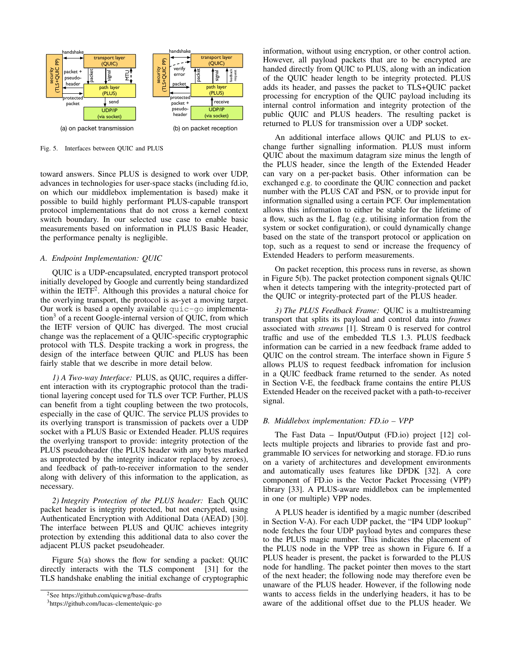

Fig. 5. Interfaces between QUIC and PLUS

toward answers. Since PLUS is designed to work over UDP, advances in technologies for user-space stacks (including fd.io, on which our middlebox implementation is based) make it possible to build highly performant PLUS-capable transport protocol implementations that do not cross a kernel context switch boundary. In our selected use case to enable basic measurements based on information in PLUS Basic Header, the performance penalty is negligible.

# *A. Endpoint Implementation: QUIC*

QUIC is a UDP-encapsulated, encrypted transport protocol initially developed by Google and currently being standardized within the  $IETF<sup>2</sup>$ . Although this provides a natural choice for the overlying transport, the protocol is as-yet a moving target. Our work is based a openly available quic-go implementa- $\tau$  tion<sup>3</sup> of a recent Google-internal version of QUIC, from which the IETF version of QUIC has diverged. The most crucial change was the replacement of a QUIC-specific cryptographic protocol with TLS. Despite tracking a work in progress, the design of the interface between QUIC and PLUS has been fairly stable that we describe in more detail below.

*1) A Two-way Interface:* PLUS, as QUIC, requires a different interaction with its cryptographic protocol than the traditional layering concept used for TLS over TCP. Further, PLUS can benefit from a tight coupling between the two protocols, especially in the case of QUIC. The service PLUS provides to its overlying transport is transmission of packets over a UDP socket with a PLUS Basic or Extended Header. PLUS requires the overlying transport to provide: integrity protection of the PLUS pseudoheader (the PLUS header with any bytes marked as unprotected by the integrity indicator replaced by zeroes), and feedback of path-to-receiver information to the sender along with delivery of this information to the application, as necessary.

*2) Integrity Protection of the PLUS header:* Each QUIC packet header is integrity protected, but not encrypted, using Authenticated Encryption with Additional Data (AEAD) [30]. The interface between PLUS and QUIC achieves integrity protection by extending this additional data to also cover the adjacent PLUS packet pseudoheader.

Figure 5(a) shows the flow for sending a packet: QUIC directly interacts with the TLS component [31] for the TLS handshake enabling the initial exchange of cryptographic information, without using encryption, or other control action. However, all payload packets that are to be encrypted are handed directly from QUIC to PLUS, along with an indication of the QUIC header length to be integrity protected. PLUS adds its header, and passes the packet to TLS+QUIC packet processing for encryption of the QUIC payload including its internal control information and integrity protection of the public QUIC and PLUS headers. The resulting packet is returned to PLUS for transmission over a UDP socket.

An additional interface allows QUIC and PLUS to exchange further signalling information. PLUS must inform QUIC about the maximum datagram size minus the length of the PLUS header, since the length of the Extended Header can vary on a per-packet basis. Other information can be exchanged e.g. to coordinate the QUIC connection and packet number with the PLUS CAT and PSN, or to provide input for information signalled using a certain PCF. Our implementation allows this information to either be stable for the lifetime of a flow, such as the L flag (e.g. utilising information from the system or socket configuration), or could dynamically change based on the state of the transport protocol or application on top, such as a request to send or increase the frequency of Extended Headers to perform measurements.

On packet reception, this process runs in reverse, as shown in Figure 5(b). The packet protection component signals QUIC when it detects tampering with the integrity-protected part of the QUIC or integrity-protected part of the PLUS header.

*3) The PLUS Feedback Frame:* QUIC is a multistreaming transport that splits its payload and control data into *frames* associated with *streams* [1]. Stream 0 is reserved for control traffic and use of the embedded TLS 1.3. PLUS feedback information can be carried in a new feedback frame added to QUIC on the control stream. The interface shown in Figure 5 allows PLUS to request feedback infromation for inclusion in a QUIC feedback frame returned to the sender. As noted in Section V-E, the feedback frame contains the entire PLUS Extended Header on the received packet with a path-to-receiver signal.

#### *B. Middlebox implementation: FD.io – VPP*

The Fast Data – Input/Output (FD.io) project [12] collects multiple projects and libraries to provide fast and programmable IO services for networking and storage. FD.io runs on a variety of architectures and development environments and automatically uses features like DPDK [32]. A core component of FD.io is the Vector Packet Processing (VPP) library [33]. A PLUS-aware middlebox can be implemented in one (or multiple) VPP nodes.

A PLUS header is identified by a magic number (described in Section V-A). For each UDP packet, the "IP4 UDP lookup" node fetches the four UDP payload bytes and compares these to the PLUS magic number. This indicates the placement of the PLUS node in the VPP tree as shown in Figure 6. If a PLUS header is present, the packet is forwarded to the PLUS node for handling. The packet pointer then moves to the start of the next header; the following node may therefore even be unaware of the PLUS header. However, if the following node wants to access fields in the underlying headers, it has to be aware of the additional offset due to the PLUS header. We

<sup>&</sup>lt;sup>2</sup>See https://github.com/quicwg/base-drafts

<sup>3</sup>https://github.com/lucas-clemente/quic-go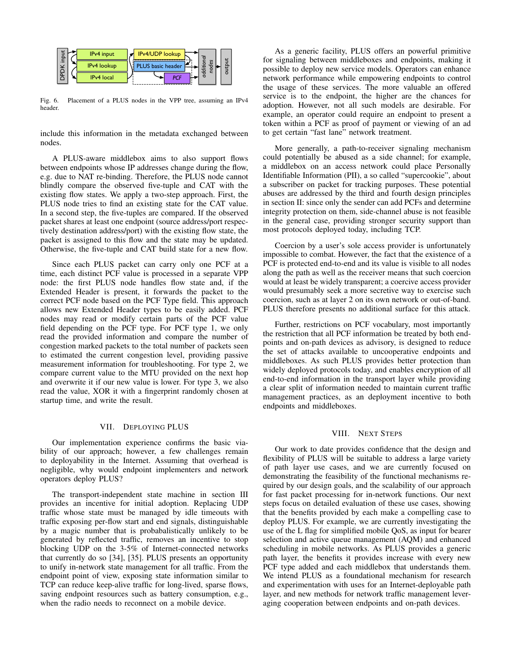

Fig. 6. Placement of a PLUS nodes in the VPP tree, assuming an IPv4 header.

include this information in the metadata exchanged between nodes.

A PLUS-aware middlebox aims to also support flows between endpoints whose IP addresses change during the flow, e.g. due to NAT re-binding. Therefore, the PLUS node cannot blindly compare the observed five-tuple and CAT with the existing flow states. We apply a two-step approach. First, the PLUS node tries to find an existing state for the CAT value. In a second step, the five-tuples are compared. If the observed packet shares at least one endpoint (source address/port respectively destination address/port) with the existing flow state, the packet is assigned to this flow and the state may be updated. Otherwise, the five-tuple and CAT build state for a new flow.

Since each PLUS packet can carry only one PCF at a time, each distinct PCF value is processed in a separate VPP node: the first PLUS node handles flow state and, if the Extended Header is present, it forwards the packet to the correct PCF node based on the PCF Type field. This approach allows new Extended Header types to be easily added. PCF nodes may read or modify certain parts of the PCF value field depending on the PCF type. For PCF type 1, we only read the provided information and compare the number of congestion marked packets to the total number of packets seen to estimated the current congestion level, providing passive measurement information for troubleshooting. For type 2, we compare current value to the MTU provided on the next hop and overwrite it if our new value is lower. For type 3, we also read the value, XOR it with a fingerprint randomly chosen at startup time, and write the result.

# VII. DEPLOYING PLUS

Our implementation experience confirms the basic viability of our approach; however, a few challenges remain to deployability in the Internet. Assuming that overhead is negligible, why would endpoint implementers and network operators deploy PLUS?

The transport-independent state machine in section III provides an incentive for initial adoption. Replacing UDP traffic whose state must be managed by idle timeouts with traffic exposing per-flow start and end signals, distinguishable by a magic number that is probabalistically unlikely to be generated by reflected traffic, removes an incentive to stop blocking UDP on the 3-5% of Internet-connected networks that currently do so [34], [35]. PLUS presents an opportunity to unify in-network state management for all traffic. From the endpoint point of view, exposing state information similar to TCP can reduce keep-alive traffic for long-lived, sparse flows, saving endpoint resources such as battery consumption, e.g., when the radio needs to reconnect on a mobile device.

As a generic facility, PLUS offers an powerful primitive for signaling between middleboxes and endpoints, making it possible to deploy new service models. Operators can enhance network performance while empowering endpoints to control the usage of these services. The more valuable an offered service is to the endpoint, the higher are the chances for adoption. However, not all such models are desirable. For example, an operator could require an endpoint to present a token within a PCF as proof of payment or viewing of an ad to get certain "fast lane" network treatment.

More generally, a path-to-receiver signaling mechanism could potentially be abused as a side channel; for example, a middlebox on an access network could place Personally Identifiable Information (PII), a so called "supercookie", about a subscriber on packet for tracking purposes. These potential abuses are addressed by the third and fourth design principles in section II: since only the sender can add PCFs and determine integrity protection on them, side-channel abuse is not feasible in the general case, providing stronger security support than most protocols deployed today, including TCP.

Coercion by a user's sole access provider is unfortunately impossible to combat. However, the fact that the existence of a PCF is protected end-to-end and its value is visible to all nodes along the path as well as the receiver means that such coercion would at least be widely transparent; a coercive access provider would presumably seek a more secretive way to exercise such coercion, such as at layer 2 on its own network or out-of-band. PLUS therefore presents no additional surface for this attack.

Further, restrictions on PCF vocabulary, most importantly the restriction that all PCF information be treated by both endpoints and on-path devices as advisory, is designed to reduce the set of attacks available to uncooperative endpoints and middleboxes. As such PLUS provides better protection than widely deployed protocols today, and enables encryption of all end-to-end information in the transport layer while providing a clear split of information needed to maintain current traffic management practices, as an deployment incentive to both endpoints and middleboxes.

#### VIII. NEXT STEPS

Our work to date provides confidence that the design and flexibility of PLUS will be suitable to address a large variety of path layer use cases, and we are currently focused on demonstrating the feasibility of the functional mechanisms required by our design goals, and the scalability of our approach for fast packet processing for in-network functions. Our next steps focus on detailed evaluation of these use cases, showing that the benefits provided by each make a compelling case to deploy PLUS. For example, we are currently investigating the use of the L flag for simplified mobile QoS, as input for bearer selection and active queue management (AQM) and enhanced scheduling in mobile networks. As PLUS provides a generic path layer, the benefits it provides increase with every new PCF type added and each middlebox that understands them. We intend PLUS as a foundational mechanism for research and experimentation with uses for an Internet-deployable path layer, and new methods for network traffic management leveraging cooperation between endpoints and on-path devices.